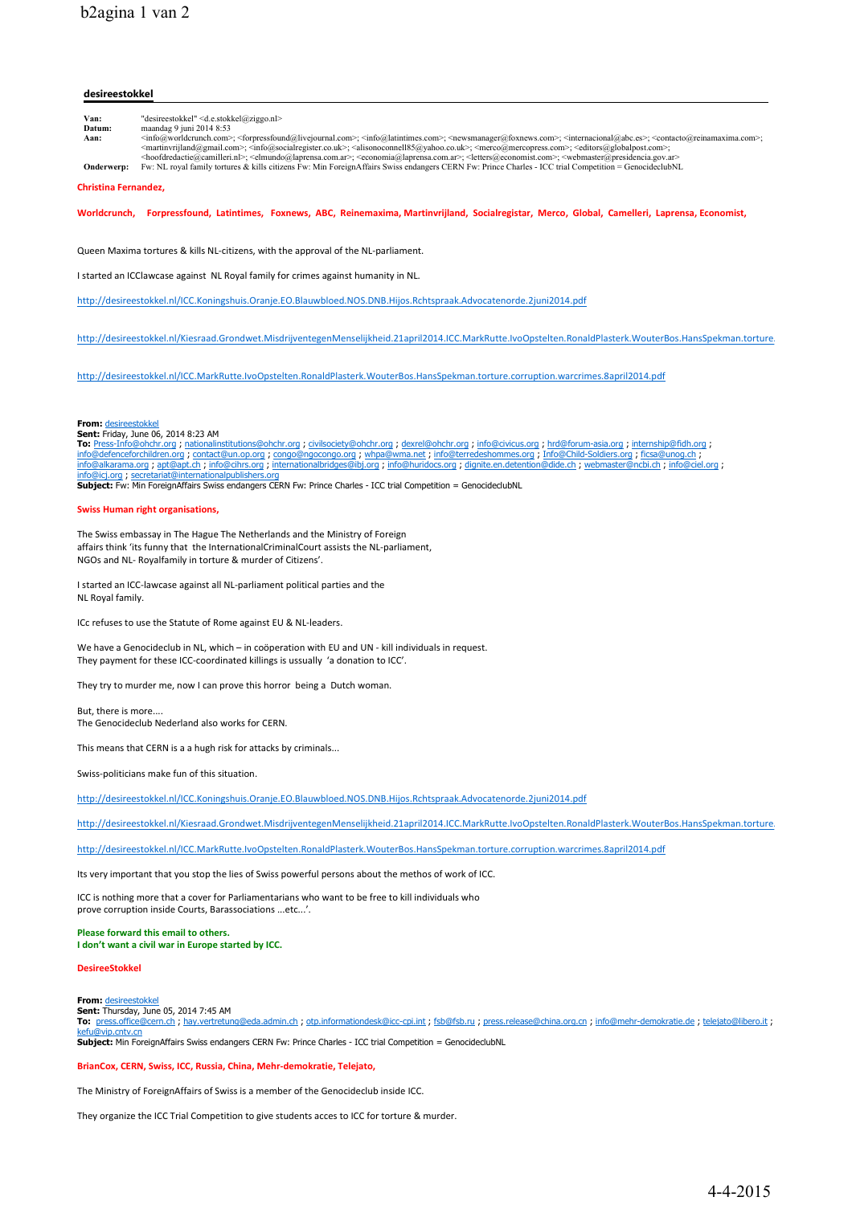## **desireestokkel**

**Van:** "desireestokkel" <d.e.stokkel@ziggo.nl><br>**Datum:** maandag 9 juni 2014 8:53 **Datum:** maandag 9 juni 2014 8:53<br>Aan:  $\frac{\sin 2014 \cdot 8.53}{\sin 600 \cdot \text{worldcrunch}}$ Aan: <info@worldcrunch.com>; <forpressfound@livejournal.com>; <info@latintimes.com>; <newsmanager@foxnews.com>; <internacional@abc.es>; <contacto@reinamaxima.com>; <informiland@gmail.com>; <informiland@gmail.com>; <informi **Onderwerp:** Fw: NL royal family tortures & kills citizens Fw: Min ForeignAffairs Swiss endangers CERN Fw: Prince Charles - ICC trial Competition = GenocideclubNL

**Christina Fernandez,** 

**Worldcrunch, Forpressfound, Latintimes, Foxnews, ABC, Reinemaxima, Martinvrijland, Socialregistar, Merco, Global, Camelleri, Laprensa, Economist,** 

Queen Maxima tortures & kills NL-citizens, with the approval of the NL-parliament.

I started an ICClawcase against NL Royal family for crimes against humanity in NL.

http://desireestokkel.nl/ICC.Koningshuis.Oranje.EO.Blauwbloed.NOS.DNB.Hijos.Rchtspraak.Advocatenorde.2juni2014.pdf

http://desireestokkel.nl/Kiesraad.Grondwet.MisdrijventegenMenselijkheid.21april2014.ICC.MarkRutte.IvoOpstelten.RonaldPlasterk.WouterBos.HansSpekman.torture.

http://desireestokkel.nl/ICC.MarkRutte.IvoOpstelten.RonaldPlasterk.WouterBos.HansSpekman.torture.corruption.warcrimes.8april2014.pdf

#### **From:** desireestokkel **Sent:** Friday, June 06, 2014 8:23 AM

**To:** Press-Info@ohchr.org ; nationalinstitutions@ohchr.org ; civilsociety@ohchr.org ; dexrel@ohchr.org ; info@civicus.org ; hrd@forum-asia.org ; internship@fidh.org ; info@defenceforchildren.org ; <u>contact@un.op.org ; congo@ngocongo.org</u> ; whpa@wma.net ; info@tredeshommes.org ; Info@Child-Soldiers.org ; ficsa@unog.ch ;<br>info@alkarama.org ; apt@apt.ch ; info@cihrs.org ; internationalbridg

info@icj.org ; secretariat@internationalpublishers.org **Subject:** Fw: Min ForeignAffairs Swiss endangers CERN Fw: Prince Charles - ICC trial Competition = GenocideclubNL

### **Swiss Human right organisations,**

The Swiss embassay in The Hague The Netherlands and the Ministry of Foreign affairs think 'its funny that the InternationalCriminalCourt assists the NL-parliament NGOs and NL- Royalfamily in torture & murder of Citizens'.

I started an ICC-lawcase against all NL-parliament political parties and the NL Royal family.

ICc refuses to use the Statute of Rome against EU & NL-leaders.

We have a Genocideclub in NL, which – in coöperation with EU and UN - kill individuals in request. They payment for these ICC-coordinated killings is ussually 'a donation to ICC'.

They try to murder me, now I can prove this horror being a Dutch woman.

But, there is more.... The Genocideclub Nederland also works for CERN.

This means that CERN is a a hugh risk for attacks by criminals...

Swiss-politicians make fun of this situation.

http://desireestokkel.nl/ICC.Koningshuis.Oranje.EO.Blauwbloed.NOS.DNB.Hijos.Rchtspraak.Advocatenorde.2juni2014.pdf

http://desireestokkel.nl/Kiesraad.Grondwet.MisdrijventegenMenselijkheid.21april2014.ICC.MarkRutte.IvoOpstelten.RonaldPlasterk.WouterBos.HansSpekman.torture.

http://desireestokkel.nl/ICC.MarkRutte.IvoOpstelten.RonaldPlasterk.WouterBos.HansSpekman.torture.corruption.warcrimes.8april2014.pdf

Its very important that you stop the lies of Swiss powerful persons about the methos of work of ICC.

ICC is nothing more that a cover for Parliamentarians who want to be free to kill individuals who prove corruption inside Courts, Barassociations ...etc...'.

#### **Please forward this email to others. I don't want a civil war in Europe started by ICC.**

#### **DesireeStokkel**

**From:** desireestokkel

**Sent:** Thursday, June 05, 2014 7:45 AM

**To:** press.office@cern.ch ; hay.vertretung@eda.admin.ch ; otp.informationdesk@icc-cpi.int ; fsb@fsb.ru ; press.release@china.org.cn ; info@mehr-demokratie.de ; telejato@libero.it ; avip.cntv.cn

**Subject:** Min ForeignAffairs Swiss endangers CERN Fw: Prince Charles - ICC trial Competition = GenocideclubNL

#### BrianCox, CERN, Swiss, ICC, Russia, China, Mehr-demokratie, Telejato,

The Ministry of ForeignAffairs of Swiss is a member of the Genocideclub inside ICC.

They organize the ICC Trial Competition to give students acces to ICC for torture & murder.